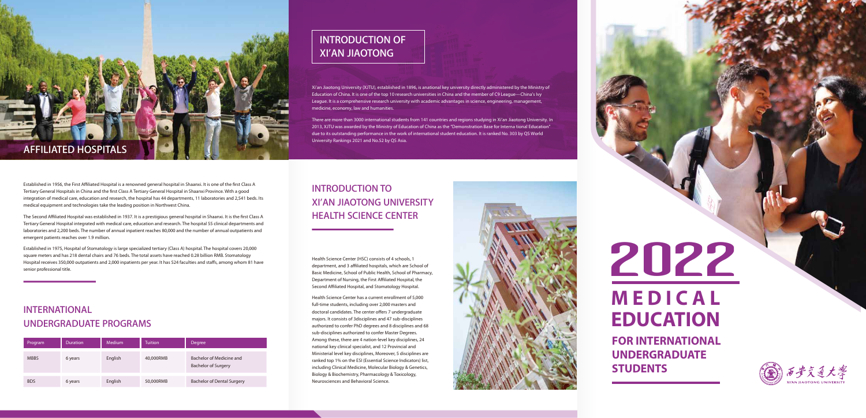# 2022

# **M E D I C A L EDUCATION**

**FOR INTERNATIONAL UNDERGRADUATE STUDENTS**

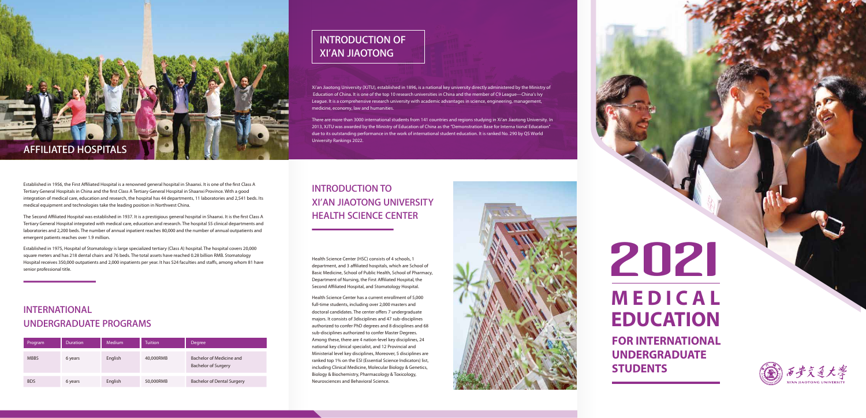## **INTRODUCTION OF XI'AN JIAOTONG**

Xi'an Jiaotong University (XJTU), established in 1896, is a national key university directly administered by the Ministry of Education of China. It is one of the top 10 research universities in China and the member of C9 League—China's Ivy League. It is a comprehensive research university with academic advantages in science, engineering, management, medicine, economy, law and humanities.

There are more than 3000 international students from 141 countries and regions studying in Xi'an Jiaotong University. In 2013, XJTU was awarded by the Ministry of Education of China as the "Demonstration Base for Interna tional Education" due to its outstanding performance in the work of international student education. It is ranked No. 290 by QS World University Rankings 2022.

## **INTRODUCTION TO XI'AN JIAOTONG UNIVERSITY HEALTH SCIENCE CENTER**

Health Science Center (HSC) consists of 4 schools, 1 department, and 3 affiliated hospitals, which are School of Basic Medicine, School of Public Health, School of Pharmacy, Department of Nursing, the First Affiliated Hospital, the Second Affiliated Hospital, and Stomatology Hospital.

Health Science Center has a current enrollment of 5,000 full-time students, including over 2,000 masters and doctoral candidates. The center offers 7 undergraduate majors. It consists of 3disciplines and 47 sub-disciplines authorized to confer PhD degrees and 8 disciplines and 68 sub-disciplines authorized to confer Master Degrees. Among these, there are 4 nation-level key disciplines, 24 national key clinical specialist, and 12 Provincial and Ministerial level key disciplines, Moreover, 5 disciplines are ranked top 1% on the ESI (Essential Science Indicators) list, including Clinical Medicine, Molecular Biology & Genetics, Biology & Biochemistry, Pharmacology & Toxicology, Neurosciences and Behavioral Science.

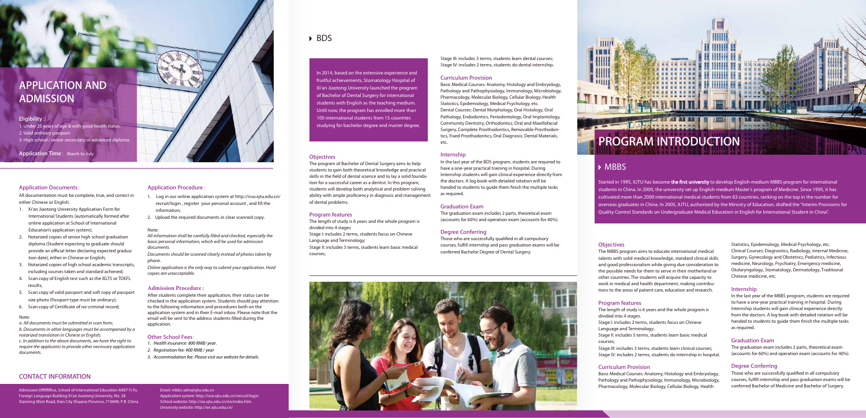## **PROGRAM INTRODUCTION**

### MBBS

Started in 1995, XJTU has become the first university to develop English-medium MBBS program for international students in China. In 2000, the university set up English-medium Master's program of Medicine. Since 1995, it has cultivated more than 2000 international medical students from 63 countries, ranking on the top in the number for overseas graduates in China. In 2005, XJTU, authorized by the Ministry of Education, drafted the "Interim Provisions for Quality Control Standards on Undergraduate Medical Education in English for International Student in China".

#### **Objectives**

The MBBS program aims to educate international medical talents with solid medical knowledge, standard clinical skills and good professionalism while giving due consideration to the possible needs for them to serve in their motherland or other countries. The students will acquire the capacity to work in medical and health department, making contributions to the areas of patient care, education and research.

#### **Program features**

The length of study is 6 years and the whole program is divided into 4 stages.

Stage I: includes 2 terms, students focus on Chinese Language and Terminology;

Stage II: includes 5 terms, students learn basic medical courses;

Stage III: includes 3 terms, students learn clinical courses; Stage IV: includes 2 terms, students do internship in hospital.

#### **Curriculum Provision**

Basic Medical Courses: Anatomy, Histology and Embryology, Pathology and Pathophysiology, Immunology, Microbiology, Pharmacology, Molecular Biology, Cellular Biology, Health

Statistics, Epidemiology, Medical Psychology, etc. Clinical Courses: Diagnostics, Radiology, Internal Medicine, Surgery, Gynecology and Obstetrics, Pediatrics, Infectious medicine, Neurology, Psychiatry, Emergency medicine, Otolaryngology, Stomatology, Dermatology, Traditional Chinese medicine, etc.

#### **Internship**

In the last year of the MBBS program, students are required to have a one-year practical training in hospital. During Internship students will gain clinical experience directly from the doctors. A log book with detailed rotation will be handed to students to guide them finish the multiple tasks as required.

#### **Graduation Exam**

The graduation exam includes 2 parts, theoretical exam (accounts for 60%) and operation exam (accounts for 40%).

#### **Degree Conferring**

Those who are successfully qualified in all compulsory courses, fulfill internship and pass graduation exams will be conferred Bachelor of Medicine and Bachelor of Surgery.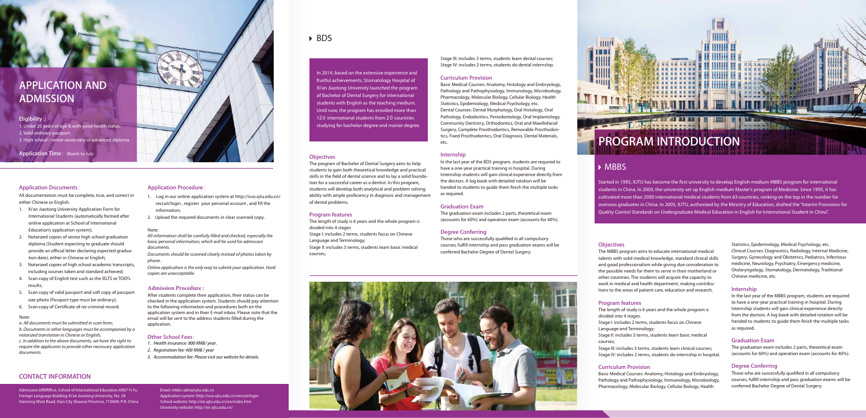In 2014, based on the extensive experience and fruitful achievements, Stomatology Hospital of Xi'an Jiaotong University launched the program of Bachelor of Dental Surgery for international students with English as the teaching medium. Until now, the program has enrolled more than 120 international students from 20 countries studying for bachelor degree and master degree.

#### **Objectives**

The program of Bachelor of Dental Surgery aims to help students to gain both theoretical knowledge and practical skills in the field of dental science and to lay a solid foundation for a successful career as a dentist. In this program, students will develop both analytical and problem solving ability with ample proficiency in diagnosis and management of dental problems.

#### **Program features**

The length of study is 6 years and the whole program is divided into 4 stages Stage I: includes 2 terms, students focus on Chinese Language and Terminology; Stage II: includes 5 terms, students learn basic medical courses;

Stage III: includes 3 terms, students learn dental courses; Stage IV: includes 2 terms, students do dental internship.

#### **Curriculum Provision**

Basic Medical Courses: Anatomy, Histology and Embryology, Pathology and Pathophysiology, Immunology, Microbiology, Pharmacology, Molecular Biology, Cellular Biology, Health Statistics, Epidemiology, Medical Psychology, etc. Dental Courses: Dental Morphology, Oral Histology, Oral Pathology, Endodontics, Periodontology, Oral Implantology, Community Dentistry, Orthodontics, Oral and Maxillofacial Surgery, Complete Prosthodontics, Removable Prosthodontics, Fixed Prosthodontics, Oral Diagnosis, Dental Materials, etc.

#### **Internship**

In the last year of the BDS program, students are required to have a one-year practical training in hospital. During Internship students will gain clinical experience directly from the doctors. A log book with detailed rotation will be handed to students to guide them finish the multiple tasks as required.

#### **Graduation Exam**

The graduation exam includes 2 parts, theoretical exam (accounts for 60%) and operation exam (accounts for 40%).

#### **Degree Conferring**

Those who are successfully qualified in all compulsory courses, fulfill internship and pass graduation exams will be conferred Bachelor Degree of Dental Surgery.

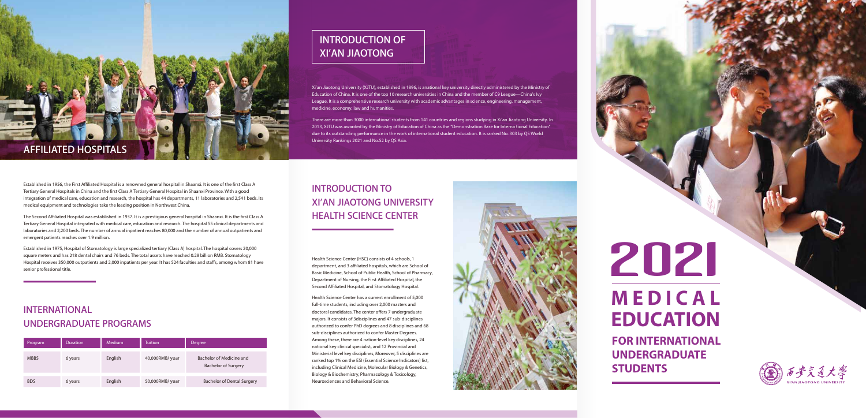

Established in 1956, the First Affiliated Hospital is a renowned general hospital in Shaanxi. It is one of the first Class A Tertiary General Hospitals in China and the first Class A Tertiary General Hospital in Shaanxi Province. With a good integration of medical care, education and research, the hospital has 44 departments, 11 laboratories and 2,541 beds. Its medical equipment and technologies take the leading position in Northwest China.

The Second Affiliated Hospital was established in 1937. It is a prestigious general hospital in Shaanxi. It is the first Class A Tertiary General Hospital integrated with medical care, education and research. The hospital 55 clinical departments and laboratories and 2,200 beds. The number of annual inpatient reaches 80,000 and the number of annual outpatients and emergent patients reaches over 1.9 million.

Established in 1975, Hospital of Stomatology is large specialized tertiary (Class A) hospital. The hospital covers 20,000 square meters and has 218 dental chairs and 76 beds. The total assets have reached 0.28 billion RMB. Stomatology Hospital receives 350,000 outpatients and 2,000 inpatients per year. It has 524 faculties and staffs, among whom 81 have senior professional title.

## **INTERNATIONAL UNDERGRADUATE PROGRAMS**

| Program     | Duration | Medium  | <b>Tuition</b> | Degree                                                 |
|-------------|----------|---------|----------------|--------------------------------------------------------|
| <b>MBBS</b> | 6 years  | English | 40,000RMB/year | Bachelor of Medicine and<br><b>Bachelor of Surgery</b> |
| <b>BDS</b>  | 6 years  | English | 50,000RMB/year | <b>Bachelor of Dental Surgery</b>                      |